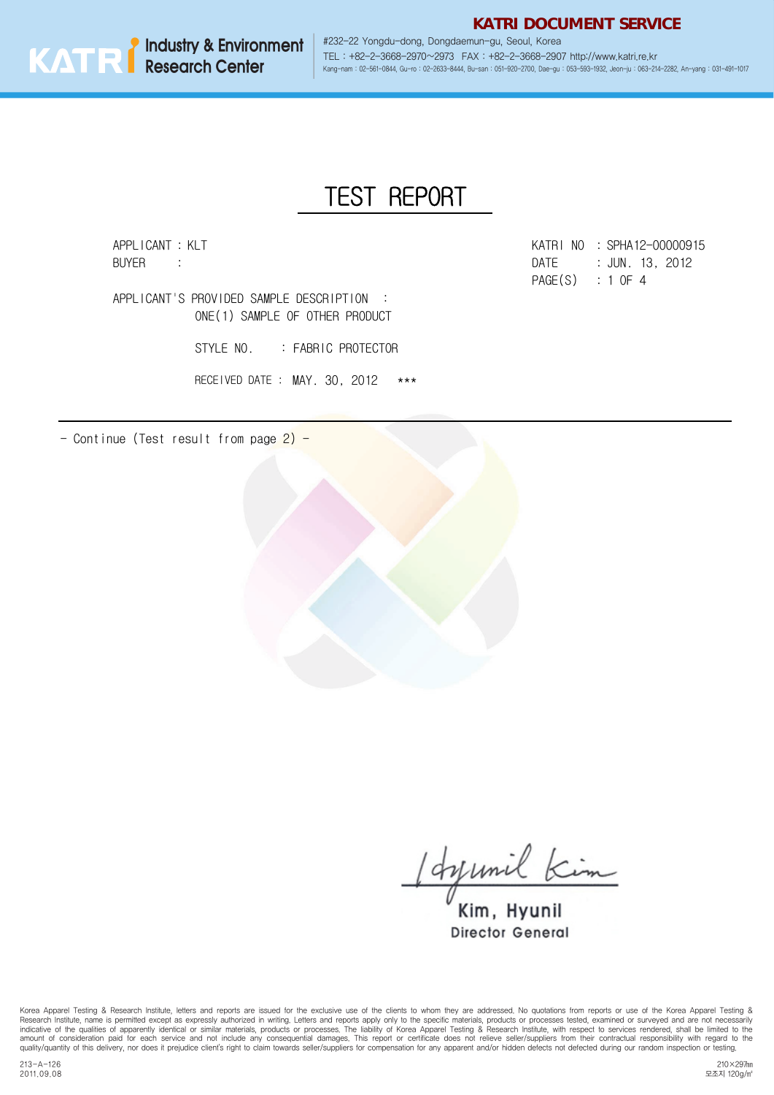**Industry & Environment Research Center**

#232-22 Yongdu-dong, Dongdaemun-gu, Seoul, Korea TEL : +82-2-3668-2970~2973 FAX : +82-2-3668-2907 http://www.katri.re.kr Kang-nam : 02-561-0844, Gu-ro : 02-2633-8444, Bu-san : 051-920-2700, Dae-gu : 053-593-1932, Jeon-ju : 063-214-2282, An-yang : 031-491-1017

**KATRI DOCUMENT SERVICE**

## TEST REPORT

APPLICANT : KLT

: APPLICANT'S PROVIDED SAMPLE DESCRIPTION ONE(1) SAMPLE OF OTHER PRODUCT

STYLE NO. : FABRIC PROTECTOR

RECEIVED DATE : MAY. 30, 2012 \*\*\*

- Continue (Test result from page 2) -



: : SPHA12-00000915 : DATE:  $\qquad \qquad$  : PAGE(S) : 1 OF 4 BUYER : 3012

Idysmil Kim

Kim, Hyunil **Director General** 

Korea Apparel Testing & Research Institute, letters and reports are issued for the exclusive use of the clients to whom they are addressed. No quotations from reports or use of the Korea Apparel Testing &<br>Research Institut indicative of the qualities of apparently identical or similar materials, products or processes. The liability of Korea Apparel Testing & Research Institute, with respect to services rendered, shall be limited to the amount of consideration paid for each service and not include any consequential damages. This report or certificate does not relieve seller/suppliers from their contractual responsibility with regard to the<br>quality/quantit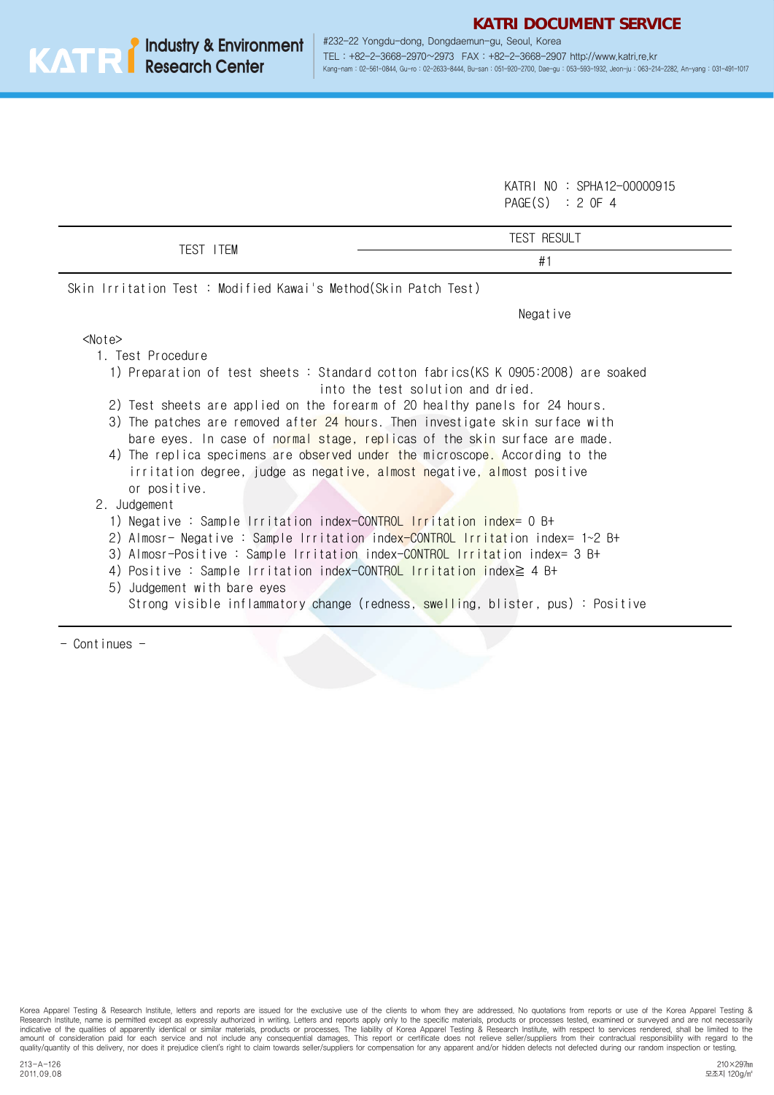KATRI NO : SPHA12-00000915 PAGE(S) : 2 OF 4

|                                                                                                                                                                                                                                                                                                                                                                                                                                                                                                                                                 | <b>TEST RESULT</b>                                                             |  |  |  |  |
|-------------------------------------------------------------------------------------------------------------------------------------------------------------------------------------------------------------------------------------------------------------------------------------------------------------------------------------------------------------------------------------------------------------------------------------------------------------------------------------------------------------------------------------------------|--------------------------------------------------------------------------------|--|--|--|--|
| TEST ITEM                                                                                                                                                                                                                                                                                                                                                                                                                                                                                                                                       | #1                                                                             |  |  |  |  |
| Skin Irritation Test : Modified Kawai's Method(Skin Patch Test)                                                                                                                                                                                                                                                                                                                                                                                                                                                                                 |                                                                                |  |  |  |  |
|                                                                                                                                                                                                                                                                                                                                                                                                                                                                                                                                                 | Negative                                                                       |  |  |  |  |
| $<$ Note $>$                                                                                                                                                                                                                                                                                                                                                                                                                                                                                                                                    |                                                                                |  |  |  |  |
| 1. Test Procedure                                                                                                                                                                                                                                                                                                                                                                                                                                                                                                                               |                                                                                |  |  |  |  |
| 1) Preparation of test sheets: Standard cotton fabrics(KS K 0905:2008) are soaked<br>into the test solution and dried.<br>2) Test sheets are applied on the forearm of 20 healthy panels for 24 hours.<br>3) The patches are removed after 24 hours. Then investigate skin surface with<br>bare eyes. In case of normal stage, replicas of the skin surface are made.<br>4) The replica specimens are observed under the microscope. According to the<br>irritation degree, judge as negative, almost negative, almost positive<br>or positive. |                                                                                |  |  |  |  |
| 2. Judgement<br>1) Negative : Sample Irritation index-CONTROL Irritation index= 0 B+<br>2) Almosr- Negative : Sample Irritation index-CONTROL Irritation index= 1~2 B+<br>3) Almosr-Positive : Sample Irritation index-CONTROL Irritation index= 3 B+<br>4) Positive : Sample Irritation index-CONTROL Irritation index $\geq 4$ B+<br>5)<br>Judgement with bare eyes                                                                                                                                                                           | Strong visible inflammatory change (redness, swelling, blister, pus): Positive |  |  |  |  |

- Continues -

Korea Apparel Testing & Research Institute, letters and reports are issued for the exclusive use of the clients to whom they are addressed. No quotations from reports or use of the Korea Apparel Testing & Research Institut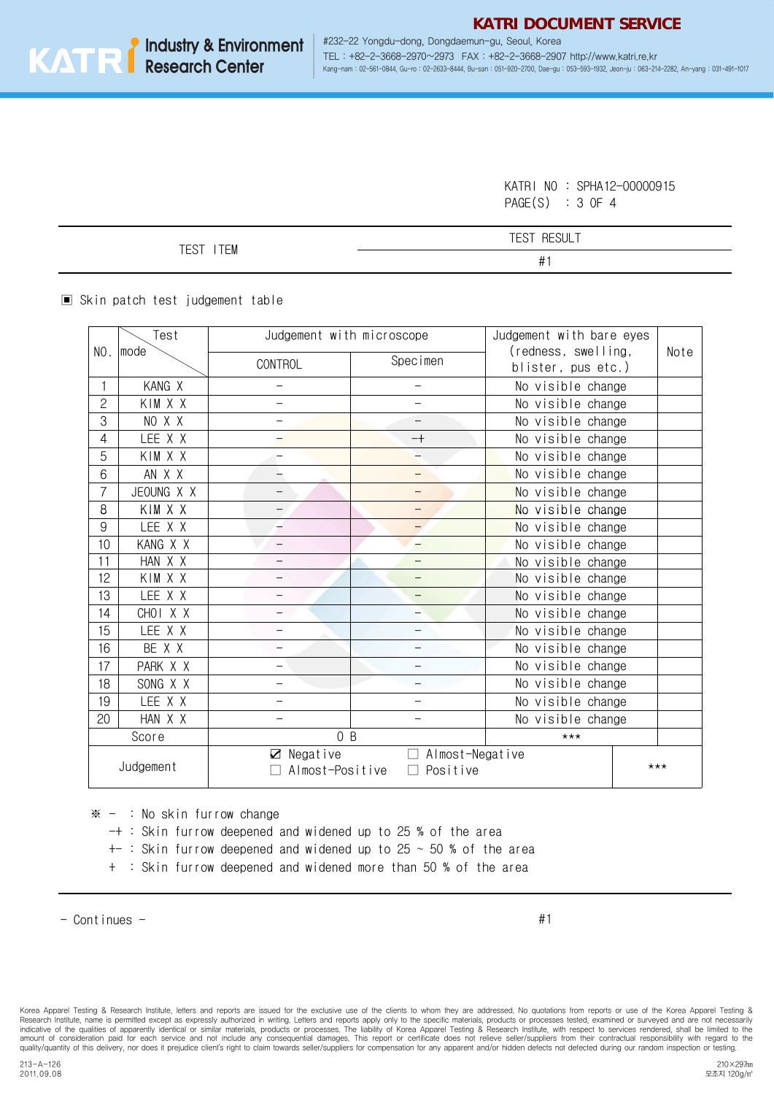#232-22 Yongdu-dong, Dongdaemun-gu, Seoul, Korea TEL : +82-2-3668-2970~2973 FAX : +82-2-3668-2907 http://www.katri.re.kr Kang-nam : 02-561-0844, Gu-ro : 02-2633-8444, Bu-san : 051-920-2700, Dae-gu : 053-593-1932, Jeon-ju : 063-214-2282, An-yang : 031-491-1017

> KATRI NO : SPHA12-00000915 PAGE(S) : 3 OF 4

| $- - - -$<br>TCTAT<br>⊢ | <b>TCOT</b><br><b>RESULT</b><br>-<br>÷Э.<br>◡ |
|-------------------------|-----------------------------------------------|
| ЕM<br>∟∪                | $\#$                                          |

▣ Skin patch test judgement table

|                                                                                          | Test       | Judgement with microscope |                          | Judgement with bare eyes                  |      |
|------------------------------------------------------------------------------------------|------------|---------------------------|--------------------------|-------------------------------------------|------|
| NO.                                                                                      | mode       | CONTROL                   | Specimen                 | (redness, swelling,<br>blister, pus etc.) | Note |
| 1                                                                                        | KANG X     | $\overline{\phantom{0}}$  | $\overline{\phantom{0}}$ | No visible change                         |      |
| 2                                                                                        | KIM X X    |                           |                          | No visible change                         |      |
| 3                                                                                        | NO X X     |                           |                          | No visible change                         |      |
| 4                                                                                        | LEE X X    | $-$                       | $-+$                     | No visible change                         |      |
| 5                                                                                        | KIM X X    |                           | L,                       | No visible change                         |      |
| 6                                                                                        | AN X X     | -                         | —                        | No visible change                         |      |
| 7                                                                                        | JEOUNG X X |                           |                          | No visible change                         |      |
| 8                                                                                        | KIM X X    | $\qquad \qquad -$         |                          | No visible change                         |      |
| 9                                                                                        | LEE X X    |                           |                          | No visible change                         |      |
| 10                                                                                       | KANG X X   | $\overline{\phantom{0}}$  | $\overline{\phantom{0}}$ | No visible change                         |      |
| 11                                                                                       | HAN X X    | $\overline{\phantom{0}}$  | $\overline{\phantom{0}}$ | No visible change                         |      |
| 12                                                                                       | KIM X X    | —                         | $\overline{\phantom{0}}$ | No visible change                         |      |
| 13                                                                                       | LEE X X    | $\overline{\phantom{0}}$  | —                        | No visible change                         |      |
| 14                                                                                       | CHOI X X   |                           |                          | No visible change                         |      |
| 15                                                                                       | LEE X X    | $\overline{\phantom{0}}$  | —                        | No visible change                         |      |
| 16                                                                                       | BE X X     |                           | —                        | No visible change                         |      |
| 17                                                                                       | PARK X X   |                           | —                        | No visible change                         |      |
| 18                                                                                       | SONG X X   | $\overline{\phantom{0}}$  |                          | No visible change                         |      |
| 19                                                                                       | LEE X X    | $\overline{\phantom{0}}$  | —                        | No visible change                         |      |
| 20                                                                                       | HAN X X    |                           |                          | No visible change                         |      |
| Score                                                                                    |            | 0B                        |                          | $***$                                     |      |
| $\boxtimes$ Negative<br>Almost-Negative<br>П<br>Judgement<br>Almost-Positive<br>Positive |            |                           |                          | ***                                       |      |

 $* - :$  No skin furrow change

- -+ : Skin furrow deepened and widened up to 25 % of the area
- $+-$ : Skin furrow deepened and widened up to 25  $\sim$  50 % of the area
- + : Skin furrow deepened and widened more than 50 % of the area

#1

Korea Apparel Testing & Research Institute, letters and reports are issued for the exclusive use of the clients to whom they are addressed. No quotations from reports or use of the Korea Apparel Testing &<br>Research Institut indicative of the qualities of apparently identical or similar materials, products or processes. The liability of Korea Apparel Testing & Research Institute, with respect to services rendered, shall be limited to the amount of consideration paid for each service and not include any consequential damages. This report or certificate does not relieve seller/suppliers from their contractual responsibility with regard to the<br>quality/quantit